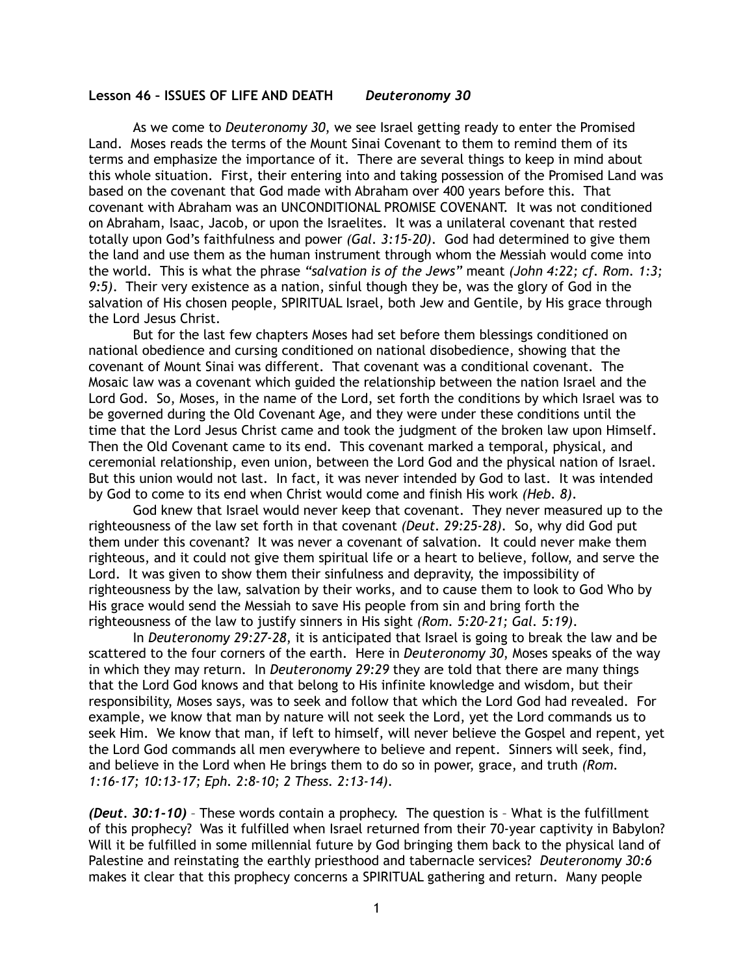## **Lesson 46 – ISSUES OF LIFE AND DEATH** *Deuteronomy 30*

 As we come to *Deuteronomy 30*, we see Israel getting ready to enter the Promised Land. Moses reads the terms of the Mount Sinai Covenant to them to remind them of its terms and emphasize the importance of it. There are several things to keep in mind about this whole situation. First, their entering into and taking possession of the Promised Land was based on the covenant that God made with Abraham over 400 years before this. That covenant with Abraham was an UNCONDITIONAL PROMISE COVENANT. It was not conditioned on Abraham, Isaac, Jacob, or upon the Israelites. It was a unilateral covenant that rested totally upon God's faithfulness and power *(Gal. 3:15-20)*. God had determined to give them the land and use them as the human instrument through whom the Messiah would come into the world. This is what the phrase *"salvation is of the Jews"* meant *(John 4:22; cf. Rom. 1:3; 9:5)*. Their very existence as a nation, sinful though they be, was the glory of God in the salvation of His chosen people, SPIRITUAL Israel, both Jew and Gentile, by His grace through the Lord Jesus Christ.

But for the last few chapters Moses had set before them blessings conditioned on national obedience and cursing conditioned on national disobedience, showing that the covenant of Mount Sinai was different. That covenant was a conditional covenant. The Mosaic law was a covenant which guided the relationship between the nation Israel and the Lord God. So, Moses, in the name of the Lord, set forth the conditions by which Israel was to be governed during the Old Covenant Age, and they were under these conditions until the time that the Lord Jesus Christ came and took the judgment of the broken law upon Himself. Then the Old Covenant came to its end. This covenant marked a temporal, physical, and ceremonial relationship, even union, between the Lord God and the physical nation of Israel. But this union would not last. In fact, it was never intended by God to last. It was intended by God to come to its end when Christ would come and finish His work *(Heb. 8)*.

God knew that Israel would never keep that covenant. They never measured up to the righteousness of the law set forth in that covenant *(Deut. 29:25-28)*. So, why did God put them under this covenant? It was never a covenant of salvation. It could never make them righteous, and it could not give them spiritual life or a heart to believe, follow, and serve the Lord. It was given to show them their sinfulness and depravity, the impossibility of righteousness by the law, salvation by their works, and to cause them to look to God Who by His grace would send the Messiah to save His people from sin and bring forth the righteousness of the law to justify sinners in His sight *(Rom. 5:20-21; Gal. 5:19)*.

In *Deuteronomy 29:27-28*, it is anticipated that Israel is going to break the law and be scattered to the four corners of the earth. Here in *Deuteronomy 30*, Moses speaks of the way in which they may return. In *Deuteronomy 29:29* they are told that there are many things that the Lord God knows and that belong to His infinite knowledge and wisdom, but their responsibility, Moses says, was to seek and follow that which the Lord God had revealed. For example, we know that man by nature will not seek the Lord, yet the Lord commands us to seek Him. We know that man, if left to himself, will never believe the Gospel and repent, yet the Lord God commands all men everywhere to believe and repent. Sinners will seek, find, and believe in the Lord when He brings them to do so in power, grace, and truth *(Rom. 1:16-17; 10:13-17; Eph. 2:8-10; 2 Thess. 2:13-14)*.

*(Deut. 30:1-10)* – These words contain a prophecy. The question is – What is the fulfillment of this prophecy? Was it fulfilled when Israel returned from their 70-year captivity in Babylon? Will it be fulfilled in some millennial future by God bringing them back to the physical land of Palestine and reinstating the earthly priesthood and tabernacle services? *Deuteronomy 30:6* makes it clear that this prophecy concerns a SPIRITUAL gathering and return. Many people